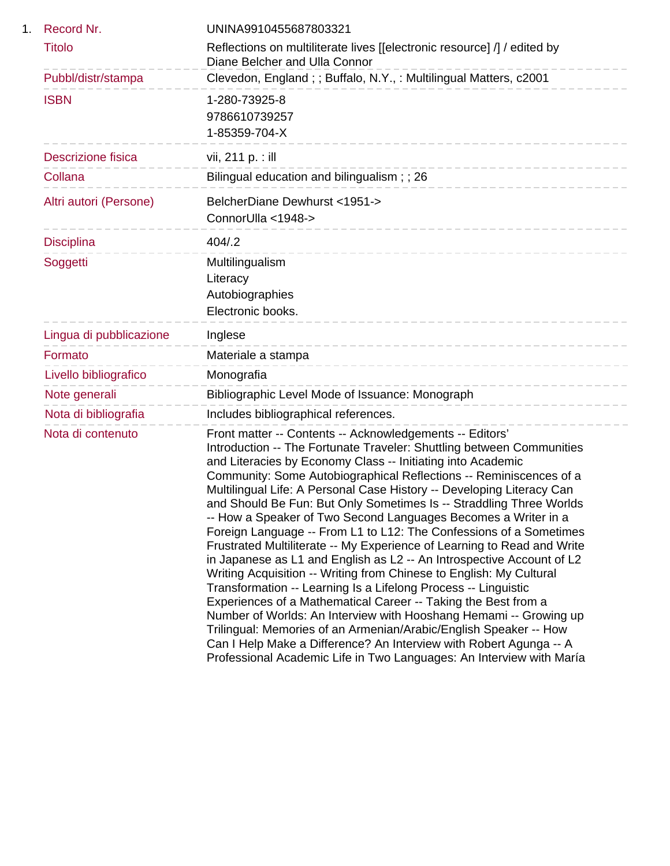| 1. | Record Nr.                | UNINA9910455687803321                                                                                                                                                                                                                                                                                                                                                                                                                                                                                                                                                                                                                                                                                                                                                                                                                                                                                                                                                                                                                                                                                                                                                                                                 |
|----|---------------------------|-----------------------------------------------------------------------------------------------------------------------------------------------------------------------------------------------------------------------------------------------------------------------------------------------------------------------------------------------------------------------------------------------------------------------------------------------------------------------------------------------------------------------------------------------------------------------------------------------------------------------------------------------------------------------------------------------------------------------------------------------------------------------------------------------------------------------------------------------------------------------------------------------------------------------------------------------------------------------------------------------------------------------------------------------------------------------------------------------------------------------------------------------------------------------------------------------------------------------|
|    | <b>Titolo</b>             | Reflections on multiliterate lives [[electronic resource] /] / edited by<br>Diane Belcher and Ulla Connor                                                                                                                                                                                                                                                                                                                                                                                                                                                                                                                                                                                                                                                                                                                                                                                                                                                                                                                                                                                                                                                                                                             |
|    | Pubbl/distr/stampa        | Clevedon, England;; Buffalo, N.Y.,: Multilingual Matters, c2001                                                                                                                                                                                                                                                                                                                                                                                                                                                                                                                                                                                                                                                                                                                                                                                                                                                                                                                                                                                                                                                                                                                                                       |
|    | <b>ISBN</b>               | 1-280-73925-8<br>9786610739257<br>1-85359-704-X                                                                                                                                                                                                                                                                                                                                                                                                                                                                                                                                                                                                                                                                                                                                                                                                                                                                                                                                                                                                                                                                                                                                                                       |
|    | <b>Descrizione fisica</b> | vii, 211 p. : ill                                                                                                                                                                                                                                                                                                                                                                                                                                                                                                                                                                                                                                                                                                                                                                                                                                                                                                                                                                                                                                                                                                                                                                                                     |
|    | Collana                   | Bilingual education and bilingualism; ; 26                                                                                                                                                                                                                                                                                                                                                                                                                                                                                                                                                                                                                                                                                                                                                                                                                                                                                                                                                                                                                                                                                                                                                                            |
|    | Altri autori (Persone)    | BelcherDiane Dewhurst <1951-><br>ConnorUlla <1948->                                                                                                                                                                                                                                                                                                                                                                                                                                                                                                                                                                                                                                                                                                                                                                                                                                                                                                                                                                                                                                                                                                                                                                   |
|    | <b>Disciplina</b>         | 404/2                                                                                                                                                                                                                                                                                                                                                                                                                                                                                                                                                                                                                                                                                                                                                                                                                                                                                                                                                                                                                                                                                                                                                                                                                 |
|    | Soggetti                  | Multilingualism<br>Literacy<br>Autobiographies<br>Electronic books.                                                                                                                                                                                                                                                                                                                                                                                                                                                                                                                                                                                                                                                                                                                                                                                                                                                                                                                                                                                                                                                                                                                                                   |
|    | Lingua di pubblicazione   | Inglese                                                                                                                                                                                                                                                                                                                                                                                                                                                                                                                                                                                                                                                                                                                                                                                                                                                                                                                                                                                                                                                                                                                                                                                                               |
|    | Formato                   | Materiale a stampa<br>-----------------------                                                                                                                                                                                                                                                                                                                                                                                                                                                                                                                                                                                                                                                                                                                                                                                                                                                                                                                                                                                                                                                                                                                                                                         |
|    | Livello bibliografico     | Monografia                                                                                                                                                                                                                                                                                                                                                                                                                                                                                                                                                                                                                                                                                                                                                                                                                                                                                                                                                                                                                                                                                                                                                                                                            |
|    | Note generali             | Bibliographic Level Mode of Issuance: Monograph                                                                                                                                                                                                                                                                                                                                                                                                                                                                                                                                                                                                                                                                                                                                                                                                                                                                                                                                                                                                                                                                                                                                                                       |
|    | Nota di bibliografia      | Includes bibliographical references.                                                                                                                                                                                                                                                                                                                                                                                                                                                                                                                                                                                                                                                                                                                                                                                                                                                                                                                                                                                                                                                                                                                                                                                  |
|    | Nota di contenuto         | Front matter -- Contents -- Acknowledgements -- Editors'<br>Introduction -- The Fortunate Traveler: Shuttling between Communities<br>and Literacies by Economy Class -- Initiating into Academic<br>Community: Some Autobiographical Reflections -- Reminiscences of a<br>Multilingual Life: A Personal Case History -- Developing Literacy Can<br>and Should Be Fun: But Only Sometimes Is -- Straddling Three Worlds<br>-- How a Speaker of Two Second Languages Becomes a Writer in a<br>Foreign Language -- From L1 to L12: The Confessions of a Sometimes<br>Frustrated Multiliterate -- My Experience of Learning to Read and Write<br>in Japanese as L1 and English as L2 -- An Introspective Account of L2<br>Writing Acquisition -- Writing from Chinese to English: My Cultural<br>Transformation -- Learning Is a Lifelong Process -- Linguistic<br>Experiences of a Mathematical Career -- Taking the Best from a<br>Number of Worlds: An Interview with Hooshang Hemami -- Growing up<br>Trilingual: Memories of an Armenian/Arabic/English Speaker -- How<br>Can I Help Make a Difference? An Interview with Robert Agunga -- A<br>Professional Academic Life in Two Languages: An Interview with María |